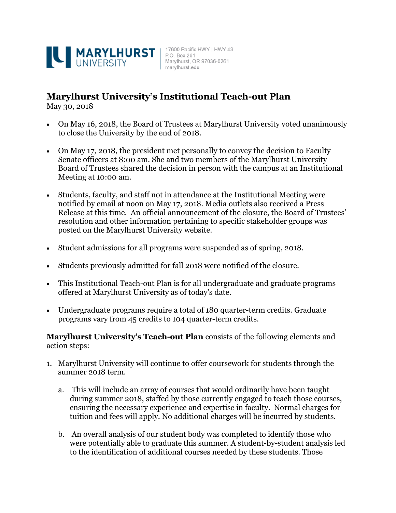

## **Marylhurst University's Institutional Teach-out Plan**

May 30, 2018

- On May 16, 2018, the Board of Trustees at Marylhurst University voted unanimously to close the University by the end of 2018.
- On May 17, 2018, the president met personally to convey the decision to Faculty Senate officers at 8:00 am. She and two members of the Marylhurst University Board of Trustees shared the decision in person with the campus at an Institutional Meeting at 10:00 am.
- Students, faculty, and staff not in attendance at the Institutional Meeting were notified by email at noon on May 17, 2018. Media outlets also received a Press Release at this time. An official announcement of the closure, the Board of Trustees' resolution and other information pertaining to specific stakeholder groups was posted on the Marylhurst University website.
- Student admissions for all programs were suspended as of spring, 2018.
- Students previously admitted for fall 2018 were notified of the closure.
- This Institutional Teach-out Plan is for all undergraduate and graduate programs offered at Marylhurst University as of today's date.
- Undergraduate programs require a total of 180 quarter-term credits. Graduate programs vary from 45 credits to 104 quarter-term credits.

**Marylhurst University's Teach-out Plan** consists of the following elements and action steps:

- 1. Marylhurst University will continue to offer coursework for students through the summer 2018 term.
	- a. This will include an array of courses that would ordinarily have been taught during summer 2018, staffed by those currently engaged to teach those courses, ensuring the necessary experience and expertise in faculty. Normal charges for tuition and fees will apply. No additional charges will be incurred by students.
	- b. An overall analysis of our student body was completed to identify those who were potentially able to graduate this summer. A student-by-student analysis led to the identification of additional courses needed by these students. Those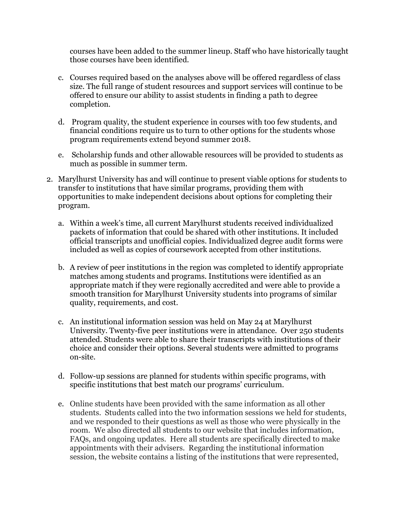courses have been added to the summer lineup. Staff who have historically taught those courses have been identified.

- c. Courses required based on the analyses above will be offered regardless of class size. The full range of student resources and support services will continue to be offered to ensure our ability to assist students in finding a path to degree completion.
- d. Program quality, the student experience in courses with too few students, and financial conditions require us to turn to other options for the students whose program requirements extend beyond summer 2018.
- e. Scholarship funds and other allowable resources will be provided to students as much as possible in summer term.
- 2. Marylhurst University has and will continue to present viable options for students to transfer to institutions that have similar programs, providing them with opportunities to make independent decisions about options for completing their program.
	- a. Within a week's time, all current Marylhurst students received individualized packets of information that could be shared with other institutions. It included official transcripts and unofficial copies. Individualized degree audit forms were included as well as copies of coursework accepted from other institutions.
	- b. A review of peer institutions in the region was completed to identify appropriate matches among students and programs. Institutions were identified as an appropriate match if they were regionally accredited and were able to provide a smooth transition for Marylhurst University students into programs of similar quality, requirements, and cost.
	- c. An institutional information session was held on May 24 at Marylhurst University. Twenty-five peer institutions were in attendance. Over 250 students attended. Students were able to share their transcripts with institutions of their choice and consider their options. Several students were admitted to programs on-site.
	- d. Follow-up sessions are planned for students within specific programs, with specific institutions that best match our programs' curriculum.
	- e. Online students have been provided with the same information as all other students. Students called into the two information sessions we held for students, and we responded to their questions as well as those who were physically in the room. We also directed all students to our website that includes information, FAQs, and ongoing updates. Here all students are specifically directed to make appointments with their advisers. Regarding the institutional information session, the website contains a listing of the institutions that were represented,